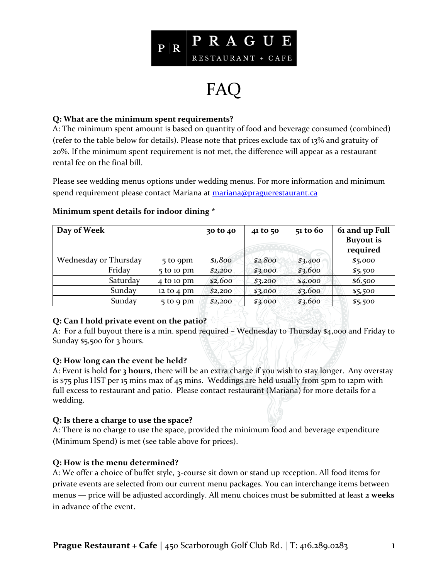

# FAQ

## **Q: What are the minimum spent requirements?**

A: The minimum spent amount is based on quantity of food and beverage consumed (combined) (refer to the table below for details). Please note that prices exclude tax of 13% and gratuity of 20%. If the minimum spent requirement is not met, the difference will appear as a restaurant rental fee on the final bill.

Please see wedding menus options under wedding menus. For more information and minimum spend requirement please contact Mariana at [mariana@praguerestaurant.ca](mailto:mariana@praguerestaurant.ca)

| Day of Week           |                               | 30 to 40 | 41 to 50 | 51 to 60 | 61 and up Full<br><b>Buyout is</b><br>required |
|-----------------------|-------------------------------|----------|----------|----------|------------------------------------------------|
| Wednesday or Thursday | 5 to 9pm                      | \$1,800  | \$2,800  | \$3,400  | \$5,000                                        |
| Friday                | $5$ to 10 pm                  | \$2,200  | \$3,000  | \$3,600  | \$5,500                                        |
| Saturday              | 4 to 10 pm                    | \$2,600  | \$3,200  | \$4,000  | \$6,500                                        |
| Sunday                | $12 \text{ to } 4 \text{ pm}$ | \$2,200  | \$3,000  | \$3,600  | \$5,500                                        |
| Sunday                | $5$ to 9 pm                   | \$2,200  | \$3,000  | \$3,600  | \$5,500                                        |

## **Minimum spent details for indoor dining \***

# **Q: Can I hold private event on the patio?**

A: For a full buyout there is a min. spend required – Wednesday to Thursday \$4,000 and Friday to Sunday \$5,500 for 3 hours.

#### **Q: How long can the event be held?**

A: Event is hold **for 3 hours**, there will be an extra charge if you wish to stay longer. Any overstay is \$75 plus HST per 15 mins max of 45 mins. Weddings are held usually from 5pm to 12pm with full excess to restaurant and patio. Please contact restaurant (Mariana) for more details for a wedding.

#### **Q: Is there a charge to use the space?**

A: There is no charge to use the space, provided the minimum food and beverage expenditure (Minimum Spend) is met (see table above for prices).

# **Q: How is the menu determined?**

A: We offer a choice of buffet style, 3-course sit down or stand up reception. All food items for private events are selected from our current menu packages. You can interchange items between menus — price will be adjusted accordingly. All menu choices must be submitted at least **2 weeks**  in advance of the event.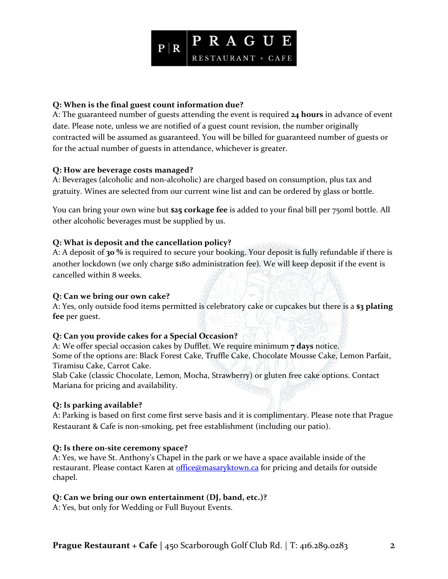

## **Q: When is the final guest count information due?**

A: The guaranteed number of guests attending the event is required **24 hours** in advance of event date. Please note, unless we are notified of a guest count revision, the number originally contracted will be assumed as guaranteed. You will be billed for guaranteed number of guests or for the actual number of guests in attendance, whichever is greater.

#### **Q: How are beverage costs managed?**

A: Beverages (alcoholic and non-alcoholic) are charged based on consumption, plus tax and gratuity. Wines are selected from our current wine list and can be ordered by glass or bottle.

You can bring your own wine but **\$25 corkage fee** is added to your final bill per 750ml bottle. All other alcoholic beverages must be supplied by us.

## **Q: What is deposit and the cancellation policy?**

A: A deposit of **30 %** is required to secure your booking. Your deposit is fully refundable if there is another lockdown (we only charge \$180 administration fee). We will keep deposit if the event is cancelled within 8 weeks.

#### **Q: Can we bring our own cake?**

A: Yes, only outside food items permitted is celebratory cake or cupcakes but there is a **\$3 plating fee** per guest.

#### **Q: Can you provide cakes for a Special Occasion?**

A: We offer special occasion cakes by Dufflet. We require minimum **7 days** notice. Some of the options are: Black Forest Cake, Truffle Cake, Chocolate Mousse Cake, Lemon Parfait, Tiramisu Cake, Carrot Cake.

Slab Cake (classic Chocolate, Lemon, Mocha, Strawberry) or gluten free cake options. Contact Mariana for pricing and availability.

# **Q: Is parking available?**

A: Parking is based on first come first serve basis and it is complimentary. Please note that Prague Restaurant & Cafe is non-smoking, pet free establishment (including our patio).

# **Q: Is there on-site ceremony space?**

A: Yes, we have St. Anthony's Chapel in the park or we have a space available inside of the restaurant. Please contact Karen at [office@masaryktown.ca](mailto:office@masaryktown.ca) for pricing and details for outside chapel.

# **Q: Can we bring our own entertainment (DJ, band, etc.)?**

A: Yes, but only for Wedding or Full Buyout Events.